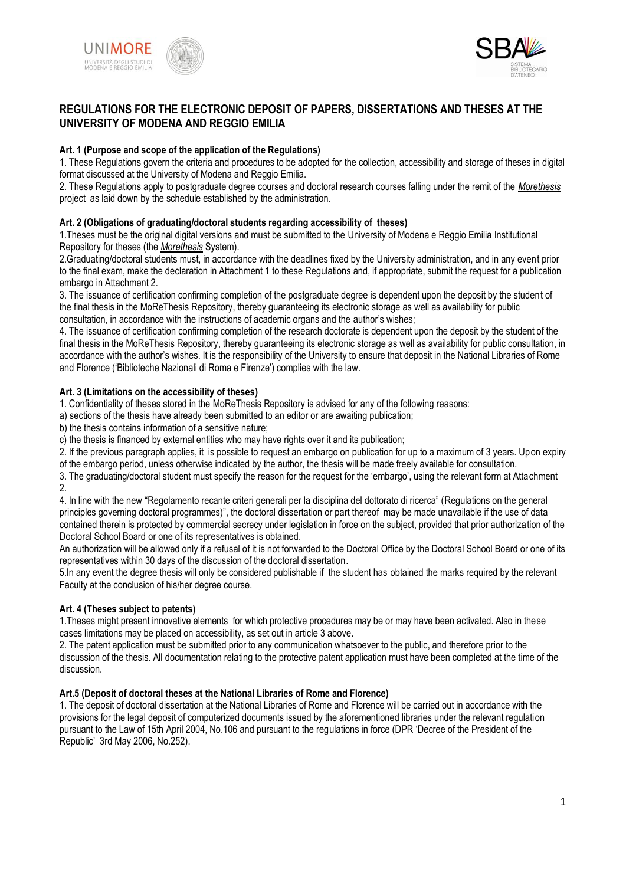



### **REGULATIONS FOR THE ELECTRONIC DEPOSIT OF PAPERS, DISSERTATIONS AND THESES AT THE UNIVERSITY OF MODENA AND REGGIO EMILIA**

### **Art. 1 (Purpose and scope of the application of the Regulations)**

1. These Regulations govern the criteria and procedures to be adopted for the collection, accessibility and storage of theses in digital format discussed at the University of Modena and Reggio Emilia.

2. These Regulations apply to postgraduate degree courses and doctoral research courses falling under the remit of the *Morethesis* project as laid down by the schedule established by the administration.

### **Art. 2 (Obligations of graduating/doctoral students regarding accessibility of theses)**

1.Theses must be the original digital versions and must be submitted to the University of Modena e Reggio Emilia Institutional Repository for theses (the *Morethesis* System).

2.Graduating/doctoral students must, in accordance with the deadlines fixed by the University administration, and in any event prior to the final exam, make the declaration in Attachment 1 to these Regulations and, if appropriate, submit the request for a publication embargo in Attachment 2.

3. The issuance of certification confirming completion of the postgraduate degree is dependent upon the deposit by the student of the final thesis in the MoReThesis Repository, thereby guaranteeing its electronic storage as well as availability for public consultation, in accordance with the instructions of academic organs and the author"s wishes;

4. The issuance of certification confirming completion of the research doctorate is dependent upon the deposit by the student of the final thesis in the MoReThesis Repository, thereby guaranteeing its electronic storage as well as availability for public consultation, in accordance with the author"s wishes. It is the responsibility of the University to ensure that deposit in the National Libraries of Rome and Florence ("Biblioteche Nazionali di Roma e Firenze") complies with the law.

### **Art. 3 (Limitations on the accessibility of theses)**

1. Confidentiality of theses stored in the MoReThesis Repository is advised for any of the following reasons:

a) sections of the thesis have already been submitted to an editor or are awaiting publication;

b) the thesis contains information of a sensitive nature;

c) the thesis is financed by external entities who may have rights over it and its publication;

2. If the previous paragraph applies, it is possible to request an embargo on publication for up to a maximum of 3 years. Upon expiry of the embargo period, unless otherwise indicated by the author, the thesis will be made freely available for consultation.

3. The graduating/doctoral student must specify the reason for the request for the "embargo", using the relevant form at Attachment 2.

4. In line with the new "Regolamento recante criteri generali per la disciplina del dottorato di ricerca" (Regulations on the general principles governing doctoral programmes)", the doctoral dissertation or part thereof may be made unavailable if the use of data contained therein is protected by commercial secrecy under legislation in force on the subject, provided that prior authorization of the Doctoral School Board or one of its representatives is obtained.

An authorization will be allowed only if a refusal of it is not forwarded to the Doctoral Office by the Doctoral School Board or one of its representatives within 30 days of the discussion of the doctoral dissertation.

5.In any event the degree thesis will only be considered publishable if the student has obtained the marks required by the relevant Faculty at the conclusion of his/her degree course.

### **Art. 4 (Theses subject to patents)**

1.Theses might present innovative elements for which protective procedures may be or may have been activated. Also in these cases limitations may be placed on accessibility, as set out in article 3 above.

2. The patent application must be submitted prior to any communication whatsoever to the public, and therefore prior to the discussion of the thesis. All documentation relating to the protective patent application must have been completed at the time of the discussion.

### **Art.5 (Deposit of doctoral theses at the National Libraries of Rome and Florence)**

1. The deposit of doctoral dissertation at the National Libraries of Rome and Florence will be carried out in accordance with the provisions for the legal deposit of computerized documents issued by the aforementioned libraries under the relevant regulation pursuant to the Law of 15th April 2004, No.106 and pursuant to the regulations in force (DPR "Decree of the President of the Republic" 3rd May 2006, No.252).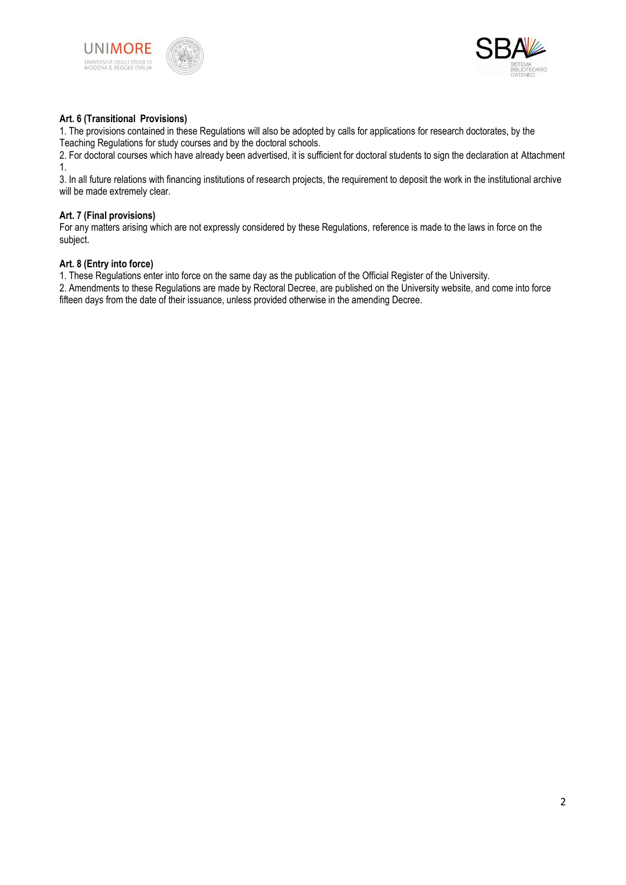





### **Art. 6 (Transitional Provisions)**

1. The provisions contained in these Regulations will also be adopted by calls for applications for research doctorates, by the Teaching Regulations for study courses and by the doctoral schools.

2. For doctoral courses which have already been advertised, it is sufficient for doctoral students to sign the declaration at Attachment 1.

3. In all future relations with financing institutions of research projects, the requirement to deposit the work in the institutional archive will be made extremely clear.

### **Art. 7 (Final provisions)**

For any matters arising which are not expressly considered by these Regulations, reference is made to the laws in force on the subject.

### **Art. 8 (Entry into force)**

1. These Regulations enter into force on the same day as the publication of the Official Register of the University.

2. Amendments to these Regulations are made by Rectoral Decree, are published on the University website, and come into force fifteen days from the date of their issuance, unless provided otherwise in the amending Decree.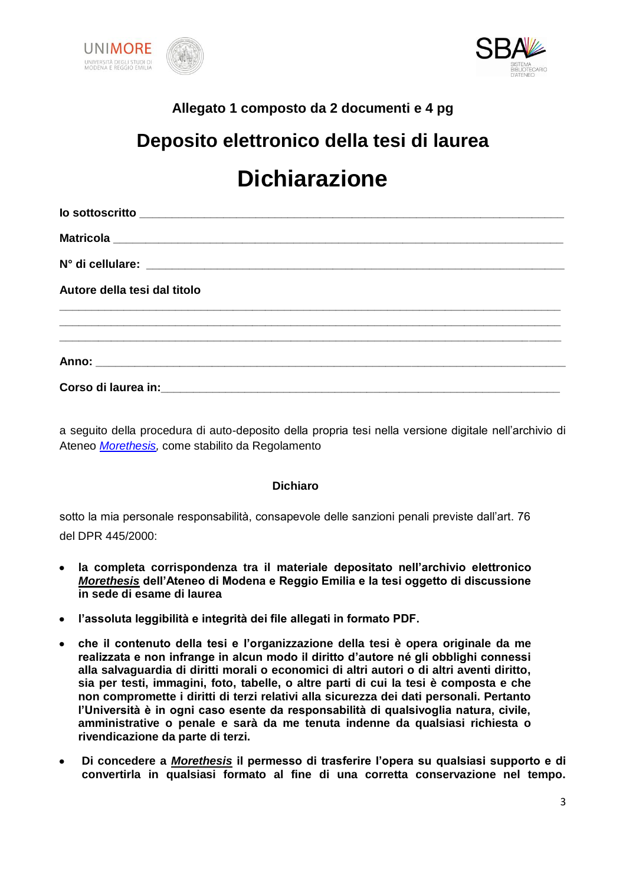



### **Allegato 1 composto da 2 documenti e 4 pg**

# **Deposito elettronico della tesi di laurea Dichiarazione**

| Autore della tesi dal titolo                                                                                  |
|---------------------------------------------------------------------------------------------------------------|
|                                                                                                               |
|                                                                                                               |
| Corso di laurea in: contra la contra la contra la contra la contra la contra la contra la contra la contra la |

a seguito della procedura di auto-deposito della propria tesi nella versione digitale nell'archivio di Ateneo *[Morethesis,](http://paduaresearch.cab.unipd.it/)* come stabilito da Regolamento

### **Dichiaro**

sotto la mia personale responsabilità, consapevole delle sanzioni penali previste dall'art. 76 del DPR 445/2000:

- **la completa corrispondenza tra il materiale depositato nell"archivio elettronico**   $\bullet$ *Morethesis* **dell"Ateneo di Modena e Reggio Emilia e la tesi oggetto di discussione in sede di esame di laurea**
- **l"assoluta leggibilità e integrità dei file allegati in formato PDF.**
- **che il contenuto della tesi e l"organizzazione della tesi è opera originale da me realizzata e non infrange in alcun modo il diritto d"autore né gli obblighi connessi alla salvaguardia di diritti morali o economici di altri autori o di altri aventi diritto, sia per testi, immagini, foto, tabelle, o altre parti di cui la tesi è composta e che non compromette i diritti di terzi relativi alla sicurezza dei dati personali. Pertanto l"Università è in ogni caso esente da responsabilità di qualsivoglia natura, civile, amministrative o penale e sarà da me tenuta indenne da qualsiasi richiesta o rivendicazione da parte di terzi.**
- **Di concedere a** *Morethesis* **il permesso di trasferire l"opera su qualsiasi supporto e di**   $\bullet$ **convertirla in qualsiasi formato al fine di una corretta conservazione nel tempo.**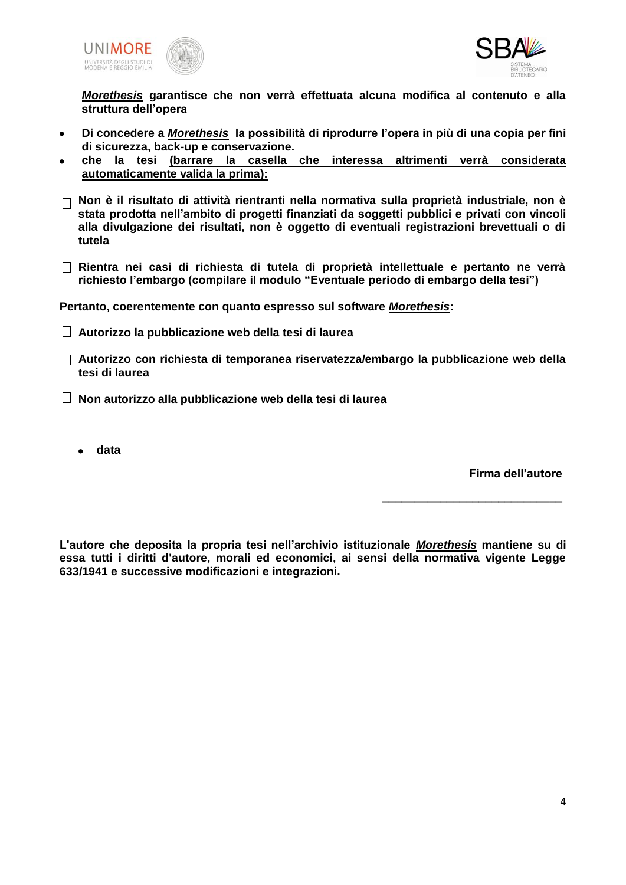



*Morethesis* **garantisce che non verrà effettuata alcuna modifica al contenuto e alla struttura dell"opera**

- **Di concedere a** *Morethesis* **la possibilità di riprodurre l"opera in più di una copia per fini**   $\bullet$ **di sicurezza, back-up e conservazione.**
- **che la tesi (barrare la casella che interessa altrimenti verrà considerata automaticamente valida la prima):**
- **Non è il risultato di attività rientranti nella normativa sulla proprietà industriale, non è stata prodotta nell"ambito di progetti finanziati da soggetti pubblici e privati con vincoli alla divulgazione dei risultati, non è oggetto di eventuali registrazioni brevettuali o di tutela**
- **Rientra nei casi di richiesta di tutela di proprietà intellettuale e pertanto ne verrà richiesto l"embargo (compilare il modulo "Eventuale periodo di embargo della tesi")**

**Pertanto, coerentemente con quanto espresso sul software** *Morethesis***:**

- **Autorizzo la pubblicazione web della tesi di laurea**
- **Autorizzo con richiesta di temporanea riservatezza/embargo la pubblicazione web della tesi di laurea**
- **Non autorizzo alla pubblicazione web della tesi di laurea**
	- **data**

**Firma dell"autore**

**\_\_\_\_\_\_\_\_\_\_\_\_\_\_\_\_\_\_\_\_\_\_\_\_\_\_\_\_**

**L'autore che deposita la propria tesi nell"archivio istituzionale** *Morethesis* **mantiene su di essa tutti i diritti d'autore, morali ed economici, ai sensi della normativa vigente Legge 633/1941 e successive modificazioni e integrazioni.**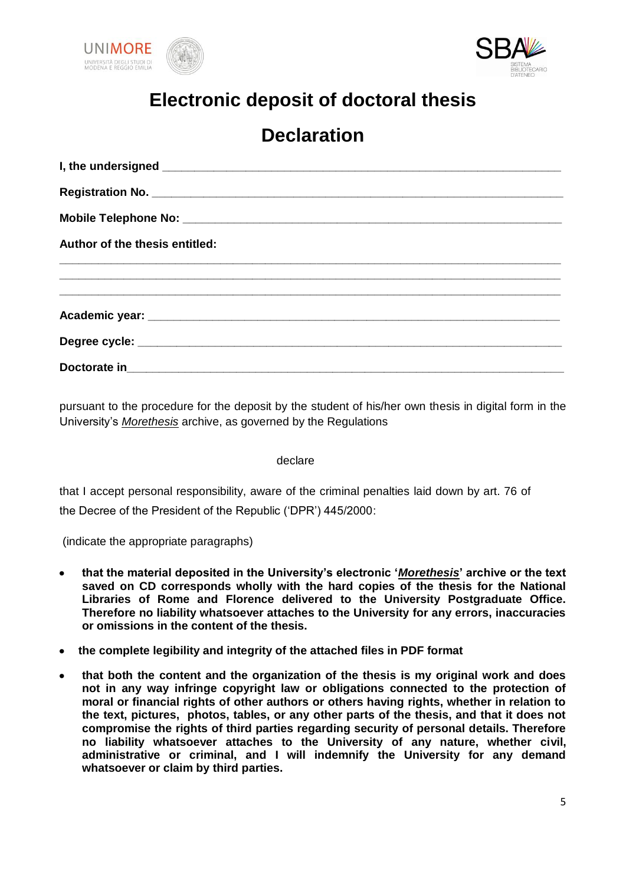



# **Electronic deposit of doctoral thesis**

## **Declaration**

| Author of the thesis entitled: |
|--------------------------------|
|                                |
|                                |
|                                |
|                                |
|                                |

pursuant to the procedure for the deposit by the student of his/her own thesis in digital form in the University's *Morethesis* archive, as governed by the Regulations

### declare

that I accept personal responsibility, aware of the criminal penalties laid down by art. 76 of the Decree of the President of the Republic ('DPR') 445/2000:

(indicate the appropriate paragraphs)

- **that the material deposited in the University"s electronic "***Morethesis***" archive or the text**   $\bullet$ **saved on CD corresponds wholly with the hard copies of the thesis for the National Libraries of Rome and Florence delivered to the University Postgraduate Office. Therefore no liability whatsoever attaches to the University for any errors, inaccuracies or omissions in the content of the thesis.**
- **the complete legibility and integrity of the attached files in PDF format**
- **that both the content and the organization of the thesis is my original work and does not in any way infringe copyright law or obligations connected to the protection of moral or financial rights of other authors or others having rights, whether in relation to the text, pictures, photos, tables, or any other parts of the thesis, and that it does not compromise the rights of third parties regarding security of personal details. Therefore no liability whatsoever attaches to the University of any nature, whether civil, administrative or criminal, and I will indemnify the University for any demand whatsoever or claim by third parties.**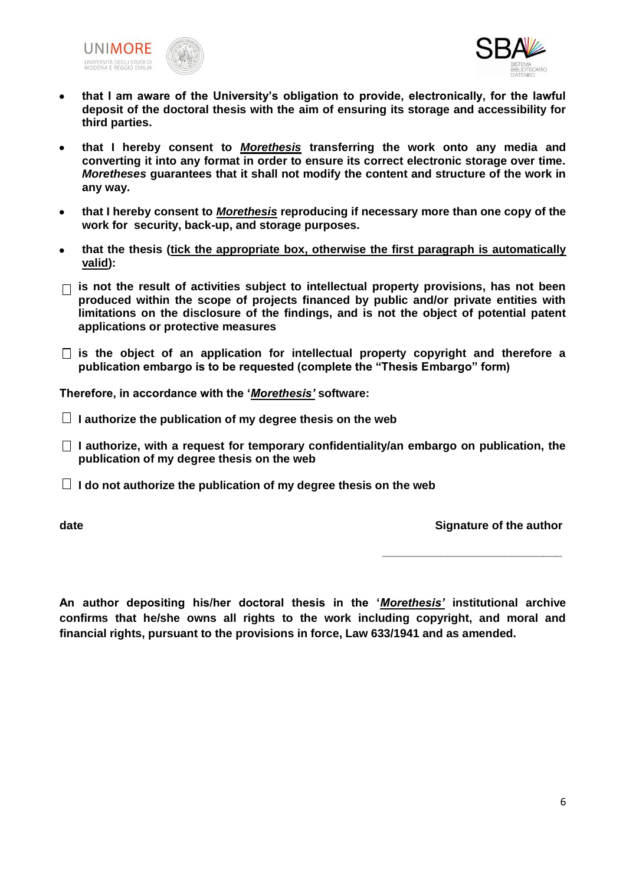



- **that I am aware of the University"s obligation to provide, electronically, for the lawful**   $\bullet$ **deposit of the doctoral thesis with the aim of ensuring its storage and accessibility for third parties.**
- **that I hereby consent to** *Morethesis* **transferring the work onto any media and**   $\bullet$ **converting it into any format in order to ensure its correct electronic storage over time.**  *Moretheses* **guarantees that it shall not modify the content and structure of the work in any way.**
- **that I hereby consent to** *Morethesis* **reproducing if necessary more than one copy of the work for security, back-up, and storage purposes.**
- **that the thesis (tick the appropriate box, otherwise the first paragraph is automatically valid):**
- **is not the result of activities subject to intellectual property provisions, has not been produced within the scope of projects financed by public and/or private entities with limitations on the disclosure of the findings, and is not the object of potential patent applications or protective measures**
- **is the object of an application for intellectual property copyright and therefore a publication embargo is to be requested (complete the "Thesis Embargo" form)**

**Therefore, in accordance with the "***Morethesis'* **software:**

- **I authorize the publication of my degree thesis on the web**
- $\Box$  I authorize, with a request for temporary confidentiality/an embargo on publication, the **publication of my degree thesis on the web**
- $\Box$  I do not authorize the publication of my degree thesis on the web

**date of the author of the author of the author of the author of the author of the author** 

**\_\_\_\_\_\_\_\_\_\_\_\_\_\_\_\_\_\_\_\_\_\_\_\_\_\_\_\_**

**An author depositing his/her doctoral thesis in the "***Morethesis'* **institutional archive confirms that he/she owns all rights to the work including copyright, and moral and financial rights, pursuant to the provisions in force, Law 633/1941 and as amended.**